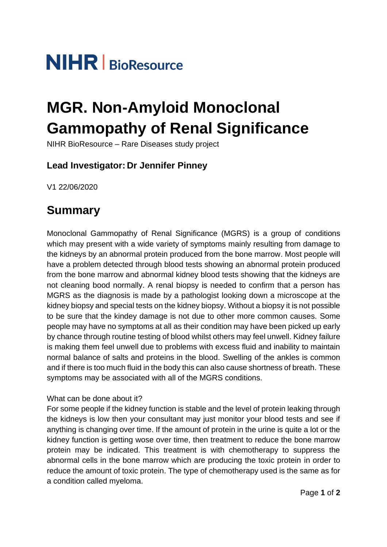# **NIHR** | BioResource

## **MGR. Non-Amyloid Monoclonal Gammopathy of Renal Significance**

NIHR BioResource – Rare Diseases study project

#### **Lead Investigator: Dr Jennifer Pinney**

V1 22/06/2020

## **Summary**

Monoclonal Gammopathy of Renal Significance (MGRS) is a group of conditions which may present with a wide variety of symptoms mainly resulting from damage to the kidneys by an abnormal protein produced from the bone marrow. Most people will have a problem detected through blood tests showing an abnormal protein produced from the bone marrow and abnormal kidney blood tests showing that the kidneys are not cleaning bood normally. A renal biopsy is needed to confirm that a person has MGRS as the diagnosis is made by a pathologist looking down a microscope at the kidney biopsy and special tests on the kidney biopsy. Without a biopsy it is not possible to be sure that the kindey damage is not due to other more common causes. Some people may have no symptoms at all as their condition may have been picked up early by chance through routine testing of blood whilst others may feel unwell. Kidney failure is making them feel unwell due to problems with excess fluid and inability to maintain normal balance of salts and proteins in the blood. Swelling of the ankles is common and if there is too much fluid in the body this can also cause shortness of breath. These symptoms may be associated with all of the MGRS conditions.

#### What can be done about it?

For some people if the kidney function is stable and the level of protein leaking through the kidneys is low then your consultant may just monitor your blood tests and see if anything is changing over time. If the amount of protein in the urine is quite a lot or the kidney function is getting wose over time, then treatment to reduce the bone marrow protein may be indicated. This treatment is with chemotherapy to suppress the abnormal cells in the bone marrow which are producing the toxic protein in order to reduce the amount of toxic protein. The type of chemotherapy used is the same as for a condition called myeloma.